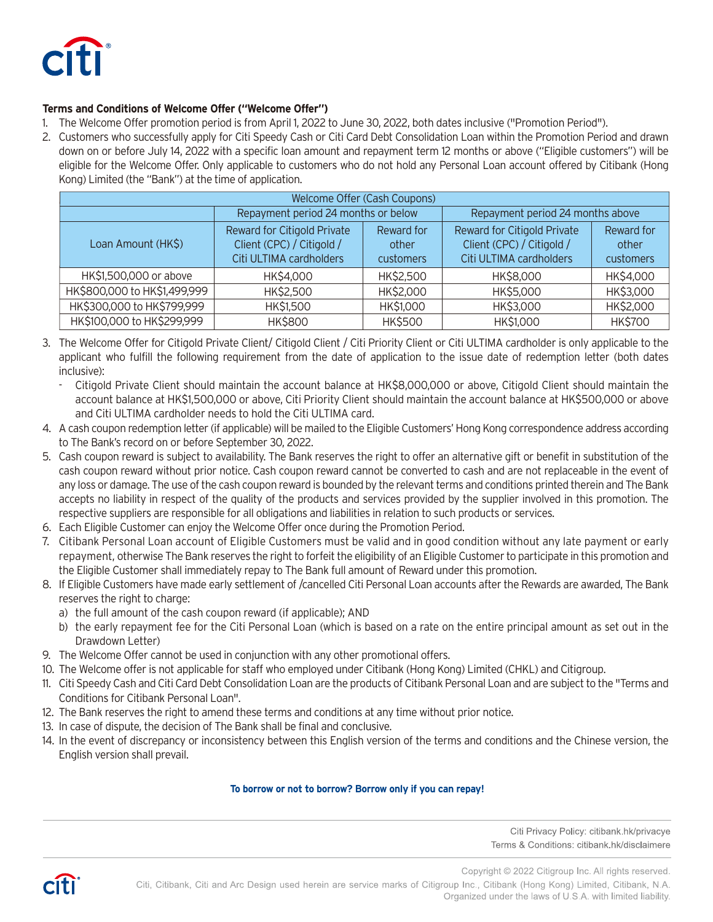

## **Terms and Conditions of Welcome Offer ("Welcome Offer")**

- 1. The Welcome Offer promotion period is from April 1, 2022 to June 30, 2022, both dates inclusive ("Promotion Period").
- 2. Customers who successfully apply for Citi Speedy Cash or Citi Card Debt Consolidation Loan within the Promotion Period and drawn down on or before July 14, 2022 with a specific loan amount and repayment term 12 months or above ("Eligible customers") will be eligible for the Welcome Offer. Only applicable to customers who do not hold any Personal Loan account offered by Citibank (Hong Kong) Limited (the "Bank") at the time of application.

| Welcome Offer (Cash Coupons) |                                                                                     |                                  |                                                                                            |                                  |  |  |
|------------------------------|-------------------------------------------------------------------------------------|----------------------------------|--------------------------------------------------------------------------------------------|----------------------------------|--|--|
|                              | Repayment period 24 months or below                                                 |                                  | Repayment period 24 months above                                                           |                                  |  |  |
| Loan Amount (HK\$)           | Reward for Citigold Private<br>Client (CPC) / Citigold /<br>Citi ULTIMA cardholders | Reward for<br>other<br>customers | <b>Reward for Citigold Private</b><br>Client (CPC) / Citigold /<br>Citi ULTIMA cardholders | Reward for<br>other<br>customers |  |  |
| HK\$1,500,000 or above       | HK\$4,000                                                                           | HK\$2,500                        | HK\$8,000                                                                                  | HK\$4,000                        |  |  |
| HK\$800,000 to HK\$1,499,999 | HK\$2,500                                                                           | HK\$2,000                        | HK\$5,000                                                                                  | HK\$3,000                        |  |  |
| HK\$300,000 to HK\$799,999   | <b>HK\$1,500</b>                                                                    | HK\$1,000                        | HK\$3,000                                                                                  | HK\$2,000                        |  |  |
| HK\$100,000 to HK\$299,999   | <b>HK\$800</b>                                                                      | <b>HK\$500</b>                   | HK\$1,000                                                                                  | <b>HK\$700</b>                   |  |  |

- 3. The Welcome Offer for Citigold Private Client/ Citigold Client / Citi Priority Client or Citi ULTIMA cardholder is only applicable to the applicant who fulfill the following requirement from the date of application to the issue date of redemption letter (both dates inclusive):
	- Citigold Private Client should maintain the account balance at HK\$8,000,000 or above, Citigold Client should maintain the account balance at HK\$1,500,000 or above, Citi Priority Client should maintain the account balance at HK\$500,000 or above and Citi ULTIMA cardholder needs to hold the Citi ULTIMA card.
- 4. A cash coupon redemption letter (if applicable) will be mailed to the Eligible Customers' Hong Kong correspondence address according to The Bank's record on or before September 30, 2022.
- 5. Cash coupon reward is subject to availability. The Bank reserves the right to offer an alternative gift or benefit in substitution of the cash coupon reward without prior notice. Cash coupon reward cannot be converted to cash and are not replaceable in the event of any loss or damage. The use of the cash coupon reward is bounded by the relevant terms and conditions printed therein and The Bank accepts no liability in respect of the quality of the products and services provided by the supplier involved in this promotion. The respective suppliers are responsible for all obligations and liabilities in relation to such products or services.
- 6. Each Eligible Customer can enjoy the Welcome Offer once during the Promotion Period.
- 7. Citibank Personal Loan account of Eligible Customers must be valid and in good condition without any late payment or early repayment, otherwise The Bank reserves the right to forfeit the eligibility of an Eligible Customer to participate in this promotion and the Eligible Customer shall immediately repay to The Bank full amount of Reward under this promotion.
- 8. If Eligible Customers have made early settlement of /cancelled Citi Personal Loan accounts after the Rewards are awarded, The Bank reserves the right to charge:
	- a) the full amount of the cash coupon reward (if applicable); AND
	- b) the early repayment fee for the Citi Personal Loan (which is based on a rate on the entire principal amount as set out in the Drawdown Letter)
- 9. The Welcome Offer cannot be used in conjunction with any other promotional offers.
- 10. The Welcome offer is not applicable for staff who employed under Citibank (Hong Kong) Limited (CHKL) and Citigroup.
- 11. Citi Speedy Cash and Citi Card Debt Consolidation Loan are the products of Citibank Personal Loan and are subject to the "Terms and Conditions for Citibank Personal Loan".
- 12. The Bank reserves the right to amend these terms and conditions at any time without prior notice.
- 13. In case of dispute, the decision of The Bank shall be final and conclusive.
- 14. In the event of discrepancy or inconsistency between this English version of the terms and conditions and the Chinese version, the English version shall prevail.

## **To borrow or not to borrow? Borrow only if you can repay!**

Citi Privacy Policy: citibank.hk/privacye Terms & Conditions: citibank.hk/disclaimere